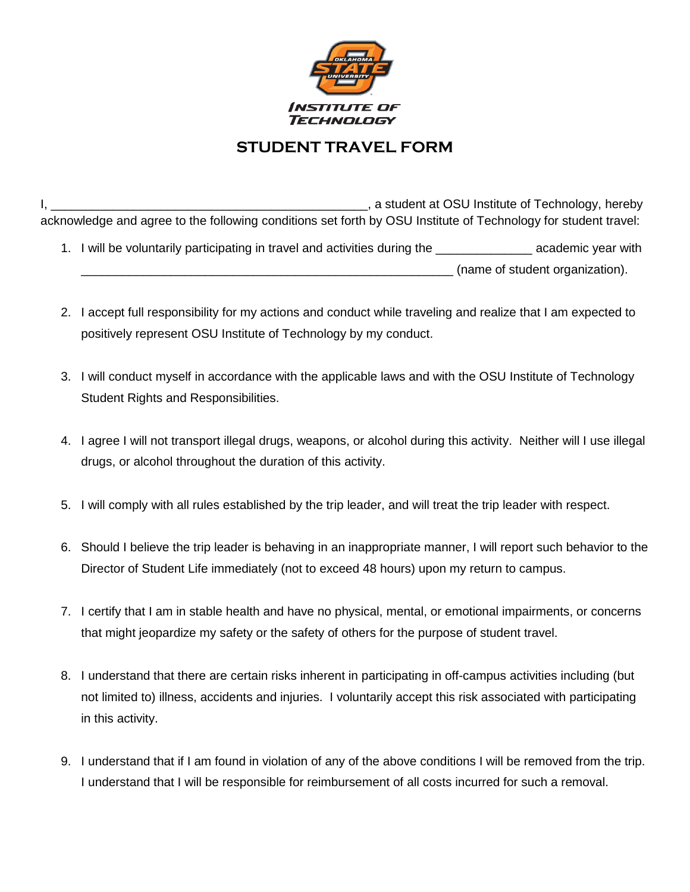

## **STUDENT TRAVEL FORM**

I, \_\_\_\_\_\_\_\_\_\_\_\_\_\_\_\_\_\_\_\_\_\_\_\_\_\_\_\_\_\_\_\_\_\_\_\_\_\_\_\_\_\_\_\_\_\_, a student at OSU Institute of Technology, hereby acknowledge and agree to the following conditions set forth by OSU Institute of Technology for student travel:

- 1. I will be voluntarily participating in travel and activities during the \_\_\_\_\_\_\_\_\_\_\_\_\_\_ academic year with \_\_\_\_\_\_\_\_\_\_\_\_\_\_\_\_\_\_\_\_\_\_\_\_\_\_\_\_\_\_\_\_\_\_\_\_\_\_\_\_\_\_\_\_\_\_\_\_\_\_\_\_\_\_ (name of student organization).
- 2. I accept full responsibility for my actions and conduct while traveling and realize that I am expected to positively represent OSU Institute of Technology by my conduct.
- 3. I will conduct myself in accordance with the applicable laws and with the OSU Institute of Technology Student Rights and Responsibilities.
- 4. I agree I will not transport illegal drugs, weapons, or alcohol during this activity. Neither will I use illegal drugs, or alcohol throughout the duration of this activity.
- 5. I will comply with all rules established by the trip leader, and will treat the trip leader with respect.
- 6. Should I believe the trip leader is behaving in an inappropriate manner, I will report such behavior to the Director of Student Life immediately (not to exceed 48 hours) upon my return to campus.
- 7. I certify that I am in stable health and have no physical, mental, or emotional impairments, or concerns that might jeopardize my safety or the safety of others for the purpose of student travel.
- 8. I understand that there are certain risks inherent in participating in off-campus activities including (but not limited to) illness, accidents and injuries. I voluntarily accept this risk associated with participating in this activity.
- 9. I understand that if I am found in violation of any of the above conditions I will be removed from the trip. I understand that I will be responsible for reimbursement of all costs incurred for such a removal.